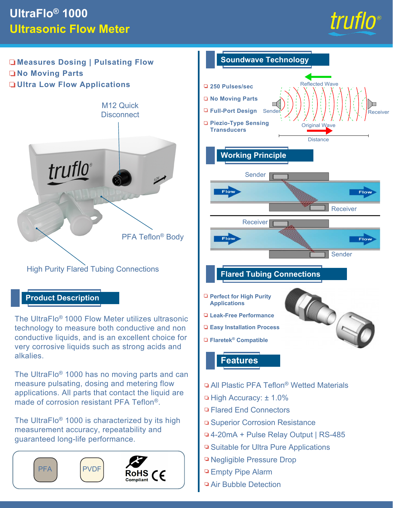## **UltraFlo® 1000 Ultrasonic Flow Meter**



**Measures Dosing | Pulsating Flow No Moving Parts Ultra Low Flow Applications**



### **Product Description**

The UltraFlo® 1000 Flow Meter utilizes ultrasonic technology to measure both conductive and non conductive liquids, and is an excellent choice for very corrosive liquids such as strong acids and alkalies.

The UltraFlo® 1000 has no moving parts and can measure pulsating, dosing and metering flow applications. All parts that contact the liquid are made of corrosion resistant PFA Teflon®.

The UltraFlo® 1000 is characterized by its high measurement accuracy, repeatability and guaranteed long-life performance.





- □ Empty Pipe Alarm
- Air Bubble Detection